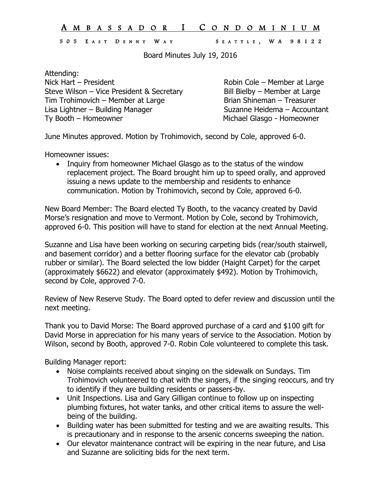## A M B A S S A D O R I C O N D O M I N I U M

## 505 E A S T D E N N Y W A Y S E A T T L E , W A 9812 2

Board Minutes July 19, 2016

Attending: Nick Hart – President **Robin Cole – Member at Large** Steve Wilson – Vice President & Secretary Bill Bielby – Member at Large Tim Trohimovich – Member at Large Brian Shineman – Treasurer Lisa Lightner – Building Manager Suzanne Heidema – Accountant Ty Booth – Homeowner **Michael Glasgo** - Homeowner

June Minutes approved. Motion by Trohimovich, second by Cole, approved 6-0.

Homeowner issues:

• Inquiry from homeowner Michael Glasgo as to the status of the window replacement project. The Board brought him up to speed orally, and approved issuing a news update to the membership and residents to enhance communication. Motion by Trohimovich, second by Cole, approved 6-0.

New Board Member: The Board elected Ty Booth, to the vacancy created by David Morse's resignation and move to Vermont. Motion by Cole, second by Trohimovich, approved 6-0. This position will have to stand for election at the next Annual Meeting.

Suzanne and Lisa have been working on securing carpeting bids (rear/south stairwell, and basement corridor) and a better flooring surface for the elevator cab (probably rubber or similar). The Board selected the low bidder (Haight Carpet) for the carpet (approximately \$6622) and elevator (approximately \$492). Motion by Trohimovich, second by Cole, approved 7-0.

Review of New Reserve Study. The Board opted to defer review and discussion until the next meeting.

Thank you to David Morse: The Board approved purchase of a card and \$100 gift for David Morse in appreciation for his many years of service to the Association. Motion by Wilson, second by Booth, approved 7-0. Robin Cole volunteered to complete this task.

Building Manager report:

- Noise complaints received about singing on the sidewalk on Sundays. Tim Trohimovich volunteered to chat with the singers, if the singing reoccurs, and try to identify if they are building residents or passers-by.
- Unit Inspections. Lisa and Gary Gilligan continue to follow up on inspecting plumbing fixtures, hot water tanks, and other critical items to assure the wellbeing of the building.
- Building water has been submitted for testing and we are awaiting results. This is precautionary and in response to the arsenic concerns sweeping the nation.
- Our elevator maintenance contract will be expiring in the near future, and Lisa and Suzanne are soliciting bids for the next term.